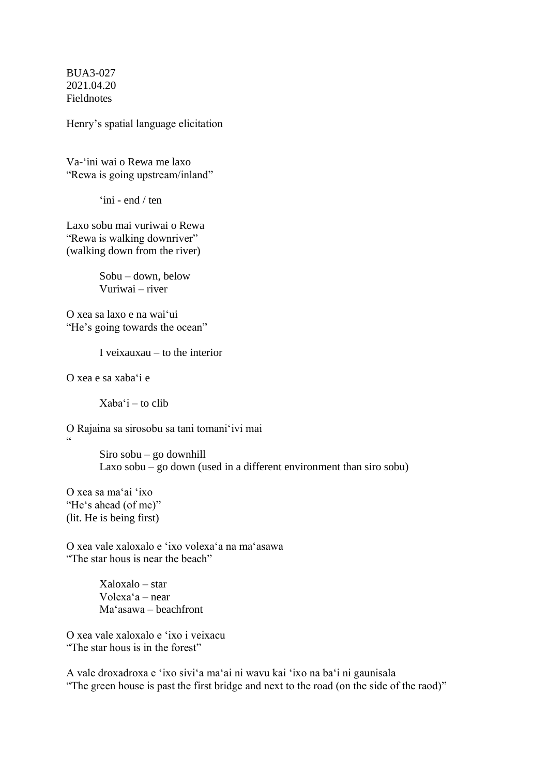BUA3-027 2021.04.20 **Fieldnotes** 

Henry's spatial language elicitation

Va-ʻini wai o Rewa me laxo "Rewa is going upstream/inland"

ʻini - end / ten

Laxo sobu mai vuriwai o Rewa "Rewa is walking downriver" (walking down from the river)

> Sobu – down, below Vuriwai – river

O xea sa laxo e na waiʻui "He's going towards the ocean"

I veixauxau – to the interior

O xea e sa xabaʻi e

 $Xaba'i - to \text{clip}$ 

O Rajaina sa sirosobu sa tani tomaniʻivi mai "

> Siro sobu – go downhill Laxo sobu – go down (used in a different environment than siro sobu)

O xea sa maʻai ʻixo "Heʻs ahead (of me)" (lit. He is being first)

O xea vale xaloxalo e ʻixo volexaʻa na maʻasawa "The star hous is near the beach"

> Xaloxalo – star Volexaʻa – near Maʻasawa – beachfront

O xea vale xaloxalo e ʻixo i veixacu "The star hous is in the forest"

A vale droxadroxa e ʻixo siviʻa maʻai ni wavu kai ʻixo na baʻi ni gaunisala "The green house is past the first bridge and next to the road (on the side of the raod)"